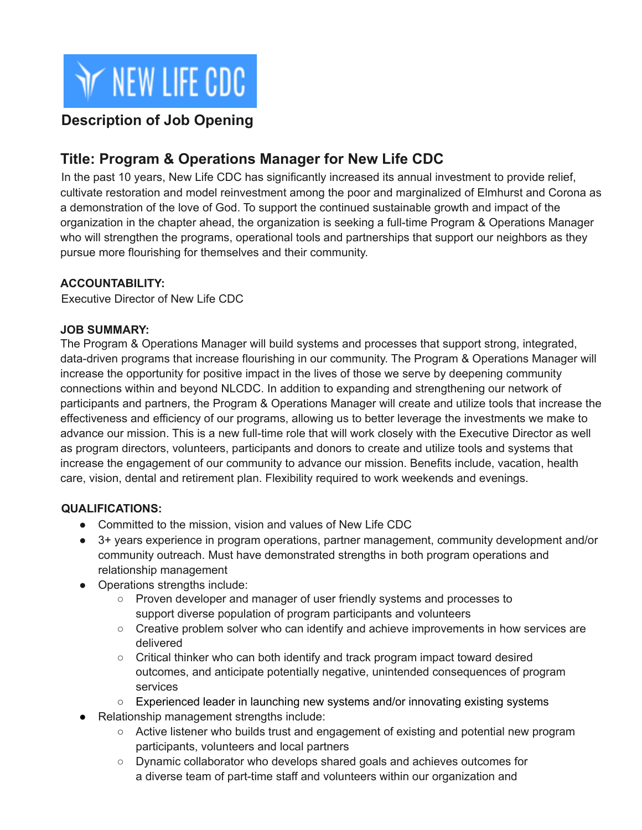

### **Description of Job Opening**

## **Title: Program & Operations Manager for New Life CDC**

In the past 10 years, New Life CDC has significantly increased its annual investment to provide relief, cultivate restoration and model reinvestment among the poor and marginalized of Elmhurst and Corona as a demonstration of the love of God. To support the continued sustainable growth and impact of the organization in the chapter ahead, the organization is seeking a full-time Program & Operations Manager who will strengthen the programs, operational tools and partnerships that support our neighbors as they pursue more flourishing for themselves and their community.

#### **ACCOUNTABILITY:**

Executive Director of New Life CDC

#### **JOB SUMMARY:**

The Program & Operations Manager will build systems and processes that support strong, integrated, data-driven programs that increase flourishing in our community. The Program & Operations Manager will increase the opportunity for positive impact in the lives of those we serve by deepening community connections within and beyond NLCDC. In addition to expanding and strengthening our network of participants and partners, the Program & Operations Manager will create and utilize tools that increase the effectiveness and efficiency of our programs, allowing us to better leverage the investments we make to advance our mission. This is a new full-time role that will work closely with the Executive Director as well as program directors, volunteers, participants and donors to create and utilize tools and systems that increase the engagement of our community to advance our mission. Benefits include, vacation, health care, vision, dental and retirement plan. Flexibility required to work weekends and evenings.

#### **QUALIFICATIONS:**

- Committed to the mission, vision and values of New Life CDC
- 3+ years experience in program operations, partner management, community development and/or community outreach. Must have demonstrated strengths in both program operations and relationship management
- Operations strengths include:
	- Proven developer and manager of user friendly systems and processes to support diverse population of program participants and volunteers
	- Creative problem solver who can identify and achieve improvements in how services are delivered
	- Critical thinker who can both identify and track program impact toward desired outcomes, and anticipate potentially negative, unintended consequences of program services
	- Experienced leader in launching new systems and/or innovating existing systems
- Relationship management strengths include:
	- Active listener who builds trust and engagement of existing and potential new program participants, volunteers and local partners
	- Dynamic collaborator who develops shared goals and achieves outcomes for a diverse team of part-time staff and volunteers within our organization and